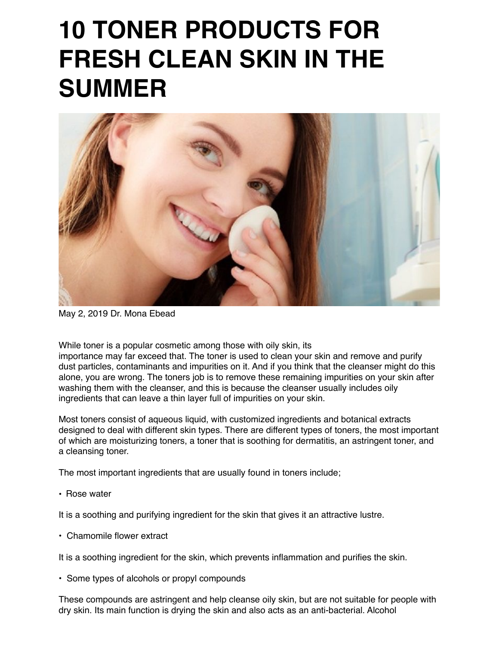# **10 TONER PRODUCTS FOR FRESH CLEAN SKIN IN THE SUMMER**



May 2, 2019 Dr. Mona Ebead

While toner is a popular cosmetic among those with oily skin, its

importance may far exceed that. The toner is used to clean your skin and remove and purify dust particles, contaminants and impurities on it. And if you think that the cleanser might do this alone, you are wrong. The toners job is to remove these remaining impurities on your skin after washing them with the cleanser, and this is because the cleanser usually includes oily ingredients that can leave a thin layer full of impurities on your skin.

Most toners consist of aqueous liquid, with customized ingredients and botanical extracts designed to deal with different skin types. There are different types of toners, the most important of which are moisturizing toners, a toner that is soothing for dermatitis, an astringent toner, and a cleansing toner.

The most important ingredients that are usually found in toners include;

• Rose water

It is a soothing and purifying ingredient for the skin that gives it an attractive lustre.

• Chamomile flower extract

It is a soothing ingredient for the skin, which prevents inflammation and purifies the skin.

• Some types of alcohols or propyl compounds

These compounds are astringent and help cleanse oily skin, but are not suitable for people with dry skin. Its main function is drying the skin and also acts as an anti-bacterial. Alcohol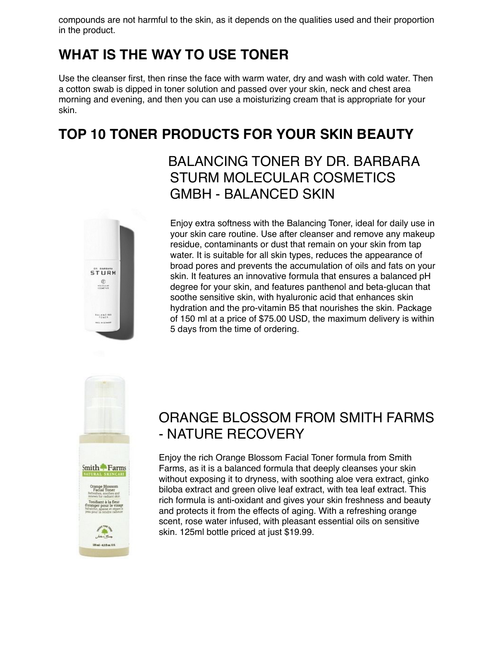compounds are not harmful to the skin, as it depends on the qualities used and their proportion in the product.

# **WHAT IS THE WAY TO USE TONER**

Use the cleanser first, then rinse the face with warm water, dry and wash with cold water. Then a cotton swab is dipped in toner solution and passed over your skin, neck and chest area morning and evening, and then you can use a moisturizing cream that is appropriate for your skin.

# **TOP 10 TONER PRODUCTS FOR YOUR SKIN BEAUTY**

#### BALANCING TONER BY DR. BARBARA STURM MOLECULAR COSMETICS GMBH - BALANCED SKIN



Enjoy extra softness with the Balancing Toner, ideal for daily use in your skin care routine. Use after cleanser and remove any makeup residue, contaminants or dust that remain on your skin from tap water. It is suitable for all skin types, reduces the appearance of broad pores and prevents the accumulation of oils and fats on your skin. It features an innovative formula that ensures a balanced pH degree for your skin, and features panthenol and beta-glucan that soothe sensitive skin, with hyaluronic acid that enhances skin hydration and the pro-vitamin B5 that nourishes the skin. Package of 150 ml at a price of \$75.00 USD, the maximum delivery is within 5 days from the time of ordering.



# ORANGE BLOSSOM FROM SMITH FARMS - NATURE RECOVERY

Enjoy the rich Orange Blossom Facial Toner formula from Smith Farms, as it is a balanced formula that deeply cleanses your skin without exposing it to dryness, with soothing aloe vera extract, ginko biloba extract and green olive leaf extract, with tea leaf extract. This rich formula is anti-oxidant and gives your skin freshness and beauty and protects it from the effects of aging. With a refreshing orange scent, rose water infused, with pleasant essential oils on sensitive skin. 125ml bottle priced at just \$19.99.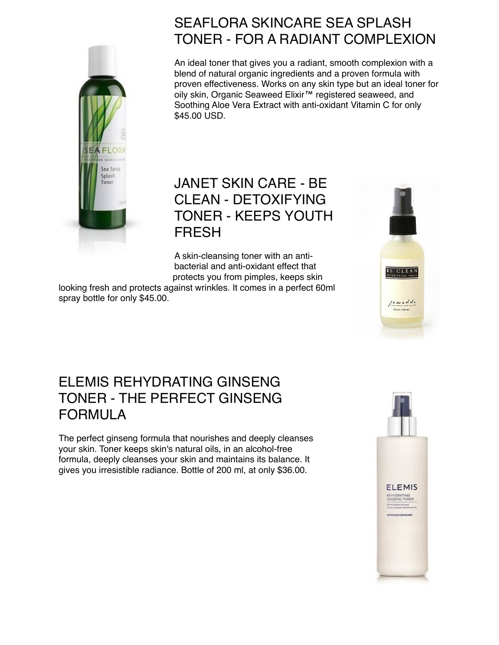

# SEAFLORA SKINCARE SEA SPLASH TONER - FOR A RADIANT COMPLEXION

An ideal toner that gives you a radiant, smooth complexion with a blend of natural organic ingredients and a proven formula with proven effectiveness. Works on any skin type but an ideal toner for oily skin, Organic Seaweed Elixir™ registered seaweed, and Soothing Aloe Vera Extract with anti-oxidant Vitamin C for only \$45.00 USD.

#### JANET SKIN CARE - BE CLEAN - DETOXIFYING TONER - KEEPS YOUTH FRESH

A skin-cleansing toner with an antibacterial and anti-oxidant effect that protects you from pimples, keeps skin

looking fresh and protects against wrinkles. It comes in a perfect 60ml spray bottle for only \$45.00.



## ELEMIS REHYDRATING GINSENG TONER - THE PERFECT GINSENG FORMULA

The perfect ginseng formula that nourishes and deeply cleanses your skin. Toner keeps skin's natural oils, in an alcohol-free formula, deeply cleanses your skin and maintains its balance. It gives you irresistible radiance. Bottle of 200 ml, at only \$36.00.

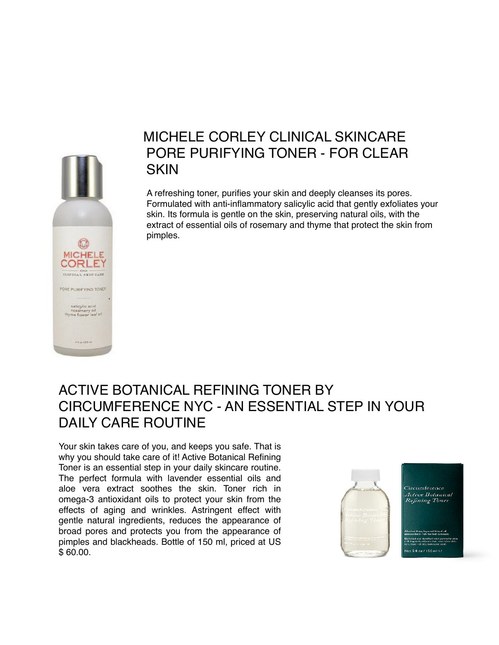

#### MICHELE CORLEY CLINICAL SKINCARE PORE PURIFYING TONER - FOR CLEAR **SKIN**

A refreshing toner, purifies your skin and deeply cleanses its pores. Formulated with anti-inflammatory salicylic acid that gently exfoliates your skin. Its formula is gentle on the skin, preserving natural oils, with the extract of essential oils of rosemary and thyme that protect the skin from pimples.

#### ACTIVE BOTANICAL REFINING TONER BY CIRCUMFERENCE NYC - AN ESSENTIAL STEP IN YOUR DAILY CARE ROUTINE

Your skin takes care of you, and keeps you safe. That is why you should take care of it! Active Botanical Refining Toner is an essential step in your daily skincare routine. The perfect formula with lavender essential oils and aloe vera extract soothes the skin. Toner rich in omega-3 antioxidant oils to protect your skin from the effects of aging and wrinkles. Astringent effect with gentle natural ingredients, reduces the appearance of broad pores and protects you from the appearance of pimples and blackheads. Bottle of 150 ml, priced at US \$ 60.00.

Circumference Active Botanical Refining Toner  $5$  floz / 150 ml  $\Theta$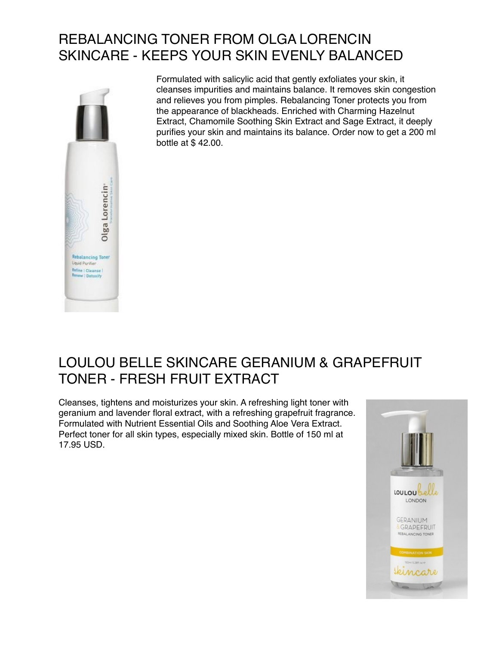# REBALANCING TONER FROM OLGA LORENCIN SKINCARE - KEEPS YOUR SKIN EVENLY BALANCED



Formulated with salicylic acid that gently exfoliates your skin, it cleanses impurities and maintains balance. It removes skin congestion and relieves you from pimples. Rebalancing Toner protects you from the appearance of blackheads. Enriched with Charming Hazelnut Extract, Chamomile Soothing Skin Extract and Sage Extract, it deeply purifies your skin and maintains its balance. Order now to get a 200 ml bottle at \$ 42.00.

# LOULOU BELLE SKINCARE GERANIUM & GRAPEFRUIT TONER - FRESH FRUIT EXTRACT

Cleanses, tightens and moisturizes your skin. A refreshing light toner with geranium and lavender floral extract, with a refreshing grapefruit fragrance. Formulated with Nutrient Essential Oils and Soothing Aloe Vera Extract. Perfect toner for all skin types, especially mixed skin. Bottle of 150 ml at 17.95 USD.